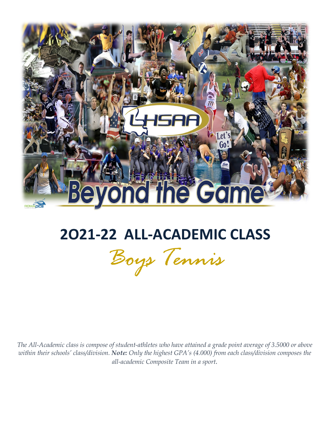

# **2O21-22 ALL-ACADEMIC CLASS**

*Boys Tennis*

*The All-Academic class is compose of student-athletes who have attained a grade point average of 3.5000 or above within their schools' class/division. Note: Only the highest GPA's (4.000) from each class/division composes the all-academic Composite Team in a sport.*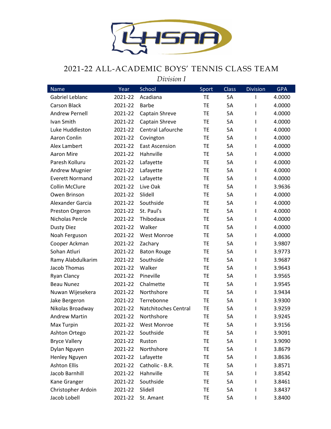

### 2021-22 ALL-ACADEMIC BOYS' TENNIS CLASS TEAM

*Division I*

| <b>Name</b>            | Year    | <b>School</b>               | Sport     | <b>Class</b> | <b>Division</b> | <b>GPA</b> |
|------------------------|---------|-----------------------------|-----------|--------------|-----------------|------------|
| Gabriel Leblanc        | 2021-22 | Acadiana                    | <b>TE</b> | 5A           | $\mathsf{l}$    | 4.0000     |
| <b>Carson Black</b>    | 2021-22 | <b>Barbe</b>                | <b>TE</b> | 5A           | I               | 4.0000     |
| <b>Andrew Pernell</b>  | 2021-22 | Captain Shreve              | TE        | 5A           | $\mathbf{I}$    | 4.0000     |
| Ivan Smith             | 2021-22 | Captain Shreve              | <b>TE</b> | 5A           | $\mathbf{I}$    | 4.0000     |
| Luke Huddleston        | 2021-22 | Central Lafourche           | TE        | 5A           | $\mathsf{I}$    | 4.0000     |
| Aaron Conlin           | 2021-22 | Covington                   | <b>TE</b> | 5A           | $\mathbf{I}$    | 4.0000     |
| Alex Lambert           | 2021-22 | <b>East Ascension</b>       | TE        | 5A           | $\mathbf{I}$    | 4.0000     |
| <b>Aaron Mire</b>      | 2021-22 | Hahnville                   | <b>TE</b> | 5A           | $\mathbf{I}$    | 4.0000     |
| Paresh Kolluru         | 2021-22 | Lafayette                   | <b>TE</b> | 5A           | $\mathsf{l}$    | 4.0000     |
| <b>Andrew Mugnier</b>  | 2021-22 | Lafayette                   | <b>TE</b> | 5A           | $\mathbf{I}$    | 4.0000     |
| <b>Everett Normand</b> | 2021-22 | Lafayette                   | TE        | 5A           | $\mathbf{I}$    | 4.0000     |
| <b>Collin McClure</b>  | 2021-22 | Live Oak                    | <b>TE</b> | 5A           | I               | 3.9636     |
| Owen Brinson           | 2021-22 | Slidell                     | <b>TE</b> | 5A           | I               | 4.0000     |
| Alexander Garcia       | 2021-22 | Southside                   | <b>TE</b> | 5A           | $\mathbf{I}$    | 4.0000     |
| Preston Orgeron        | 2021-22 | St. Paul's                  | TE        | 5A           | $\mathbf{I}$    | 4.0000     |
| Nicholas Percle        | 2021-22 | Thibodaux                   | <b>TE</b> | 5A           | $\mathbf{I}$    | 4.0000     |
| Dusty Diez             | 2021-22 | Walker                      | <b>TE</b> | 5A           | $\mathsf{l}$    | 4.0000     |
| Noah Ferguson          | 2021-22 | <b>West Monroe</b>          | <b>TE</b> | 5A           | $\mathbf{I}$    | 4.0000     |
| Cooper Ackman          | 2021-22 | Zachary                     | TE        | 5A           | $\mathbf{I}$    | 3.9807     |
| Sohan Atluri           | 2021-22 | <b>Baton Rouge</b>          | <b>TE</b> | 5A           | $\mathbf{I}$    | 3.9773     |
| Ramy Alabdulkarim      | 2021-22 | Southside                   | <b>TE</b> | 5A           | $\mathsf{I}$    | 3.9687     |
| Jacob Thomas           | 2021-22 | Walker                      | <b>TE</b> | 5A           | $\mathbf{I}$    | 3.9643     |
| <b>Ryan Clancy</b>     | 2021-22 | Pineville                   | TE        | 5A           | $\mathsf{I}$    | 3.9565     |
| <b>Beau Nunez</b>      | 2021-22 | Chalmette                   | <b>TE</b> | 5A           | $\mathbf{I}$    | 3.9545     |
| Nuwan Wijesekera       | 2021-22 | Northshore                  | <b>TE</b> | 5A           | $\mathsf{I}$    | 3.9434     |
| Jake Bergeron          | 2021-22 | Terrebonne                  | <b>TE</b> | 5A           | $\mathsf{I}$    | 3.9300     |
| Nikolas Broadway       | 2021-22 | <b>Natchitoches Central</b> | TE        | 5A           | $\mathsf{I}$    | 3.9259     |
| <b>Andrew Martin</b>   | 2021-22 | Northshore                  | <b>TE</b> | 5A           | I.              | 3.9245     |
| Max Turpin             | 2021-22 | <b>West Monroe</b>          | <b>TE</b> | 5A           | I.              | 3.9156     |
| Ashton Ortego          | 2021-22 | Southside                   | TE        | 5A           | I.              | 3.9091     |
| <b>Bryce Vallery</b>   | 2021-22 | Ruston                      | TE        | 5A           | $\mathsf{l}$    | 3.9090     |
| Dylan Nguyen           | 2021-22 | Northshore                  | TE        | 5A           | $\mathbf{I}$    | 3.8679     |
| Henley Nguyen          | 2021-22 | Lafayette                   | TE        | 5A           | I.              | 3.8636     |
| <b>Ashton Ellis</b>    | 2021-22 | Catholic - B.R.             | TE        | 5A           | L               | 3.8571     |
| Jacob Barnhill         | 2021-22 | Hahnville                   | TE        | 5A           | I.              | 3.8542     |
| Kane Granger           | 2021-22 | Southside                   | TE        | 5A           | I.              | 3.8461     |
| Christopher Ardoin     | 2021-22 | Slidell                     | TE        | 5A           | I.              | 3.8437     |
| Jacob Lobell           | 2021-22 | St. Amant                   | TE        | 5A           | I               | 3.8400     |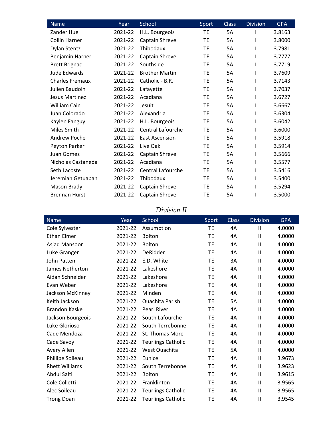| Name                   | Year    | School                   | Sport     | <b>Class</b> | <b>Division</b> | <b>GPA</b> |
|------------------------|---------|--------------------------|-----------|--------------|-----------------|------------|
| Zander Hue             | 2021-22 | H.L. Bourgeois           | <b>TE</b> | <b>5A</b>    |                 | 3.8163     |
| Collin Harner          | 2021-22 | Captain Shreve           | TE        | <b>5A</b>    |                 | 3.8000     |
| <b>Dylan Stentz</b>    | 2021-22 | Thibodaux                | <b>TE</b> | <b>5A</b>    |                 | 3.7981     |
| Benjamin Harner        | 2021-22 | Captain Shreve           | <b>TE</b> | 5A           |                 | 3.7777     |
| <b>Brett Brignac</b>   | 2021-22 | Southside                | <b>TE</b> | <b>5A</b>    |                 | 3.7719     |
| Jude Edwards           | 2021-22 | <b>Brother Martin</b>    | TE        | <b>5A</b>    |                 | 3.7609     |
| <b>Charles Fremaux</b> | 2021-22 | Catholic - B.R.          | TE        | 5A           |                 | 3.7143     |
| Julien Baudoin         | 2021-22 | Lafayette                | <b>TE</b> | 5A           |                 | 3.7037     |
| <b>Jesus Martinez</b>  | 2021-22 | Acadiana                 | <b>TE</b> | <b>5A</b>    |                 | 3.6727     |
| William Cain           | 2021-22 | Jesuit                   | <b>TE</b> | 5A           |                 | 3.6667     |
| Juan Colorado          | 2021-22 | Alexandria               | <b>TE</b> | 5A           |                 | 3.6304     |
| Kaylen Fanguy          | 2021-22 | H.L. Bourgeois           | <b>TE</b> | <b>5A</b>    |                 | 3.6042     |
| Miles Smith            | 2021-22 | <b>Central Lafourche</b> | <b>TE</b> | 5A           |                 | 3.6000     |
| <b>Andrew Poche</b>    | 2021-22 | <b>East Ascension</b>    | <b>TE</b> | 5A           |                 | 3.5918     |
| Peyton Parker          | 2021-22 | Live Oak                 | TE        | <b>5A</b>    |                 | 3.5914     |
| Juan Gomez             | 2021-22 | Captain Shreve           | TE        | <b>5A</b>    |                 | 3.5666     |
| Nicholas Castaneda     | 2021-22 | Acadiana                 | <b>TE</b> | <b>5A</b>    |                 | 3.5577     |
| Seth Lacoste           | 2021-22 | <b>Central Lafourche</b> | TE        | <b>5A</b>    |                 | 3.5416     |
| Jeremiah Getuaban      | 2021-22 | Thibodaux                | TE        | <b>5A</b>    |                 | 3.5400     |
| Mason Brady            | 2021-22 | Captain Shreve           | <b>TE</b> | <b>5A</b>    |                 | 3.5294     |
| <b>Brennan Hurst</b>   | 2021-22 | Captain Shreve           | <b>TE</b> | 5A           |                 | 3.5000     |

## *Division II*

| Name                  | Year    | School                    | Sport     | <b>Class</b> | <b>Division</b>            | <b>GPA</b> |
|-----------------------|---------|---------------------------|-----------|--------------|----------------------------|------------|
| Cole Sylvester        | 2021-22 | Assumption                | <b>TE</b> | 4A           | $\mathbf{II}$              | 4.0000     |
| <b>Ethan Elmer</b>    | 2021-22 | Bolton                    | <b>TE</b> | 4A           | $\mathbf{H}$               | 4.0000     |
| Asjad Mansoor         | 2021-22 | Bolton                    | <b>TE</b> | 4A           | Ш                          | 4.0000     |
| Luke Granger          | 2021-22 | DeRidder                  | TE        | 4A           | $\mathbf{H}$               | 4.0000     |
| John Patten           | 2021-22 | E.D. White                | <b>TE</b> | 3A           | $\mathsf{II}$              | 4.0000     |
| James Netherton       | 2021-22 | Lakeshore                 | TE        | 4A           | $\mathbf{H}$               | 4.0000     |
| Aidan Schneider       | 2021-22 | Lakeshore                 | TE        | 4A           | Ш                          | 4.0000     |
| Evan Weber            | 2021-22 | Lakeshore                 | TE        | 4A           | Ш                          | 4.0000     |
| Jackson McKinney      | 2021-22 | Minden                    | <b>TE</b> | 4A           | $\mathbf{II}$              | 4.0000     |
| Keith Jackson         | 2021-22 | <b>Ouachita Parish</b>    | TE        | <b>5A</b>    | Ш                          | 4.0000     |
| <b>Brandon Kaske</b>  | 2021-22 | <b>Pearl River</b>        | <b>TE</b> | 4A           | $\mathbf{II}$              | 4.0000     |
| Jackson Bourgeois     | 2021-22 | South Lafourche           | TE        | 4A           | Ш                          | 4.0000     |
| Luke Glorioso         | 2021-22 | South Terrebonne          | TE        | 4A           | Ш                          | 4.0000     |
| Cade Mendoza          | 2021-22 | St. Thomas More           | <b>TE</b> | 4A           | $\mathbf{II}$              | 4.0000     |
| Cade Savoy            | 2021-22 | <b>Teurlings Catholic</b> | TE        | 4A           | Ш                          | 4.0000     |
| Avery Allen           | 2021-22 | West Ouachita             | <b>TE</b> | <b>5A</b>    | $\mathbf{II}$              | 4.0000     |
| Phillipe Soileau      | 2021-22 | Eunice                    | TE        | 4A           | Ш                          | 3.9673     |
| <b>Rhett Williams</b> | 2021-22 | South Terrebonne          | <b>TE</b> | 4A           | Ш                          | 3.9623     |
| Abdul Salti           | 2021-22 | <b>Bolton</b>             | <b>TE</b> | 4A           | $\ensuremath{\mathsf{II}}$ | 3.9615     |
| Cole Colletti         | 2021-22 | Franklinton               | TE        | 4A           | Ш                          | 3.9565     |
| Alec Soileau          | 2021-22 | <b>Teurlings Catholic</b> | TE        | 4A           | $\mathbf{I}$               | 3.9565     |
| <b>Trong Doan</b>     | 2021-22 | <b>Teurlings Catholic</b> | TE        | 4A           | $\mathsf{II}$              | 3.9545     |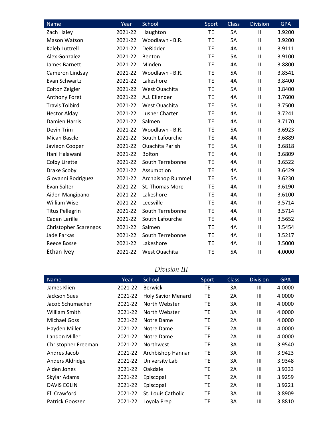| <b>Name</b>                  | Year    | School                 | Sport     | <b>Class</b> | <b>Division</b> | <b>GPA</b> |
|------------------------------|---------|------------------------|-----------|--------------|-----------------|------------|
| Zach Haley                   | 2021-22 | Haughton               | TE        | 5A           | $\mathbf{I}$    | 3.9200     |
| Mason Watson                 | 2021-22 | Woodlawn - B.R.        | <b>TE</b> | <b>5A</b>    | $\mathbf{II}$   | 3.9200     |
| Kaleb Luttrell               | 2021-22 | DeRidder               | <b>TE</b> | 4A           | $\mathbf{II}$   | 3.9111     |
| <b>Alex Gonzalez</b>         | 2021-22 | Benton                 | <b>TE</b> | 5A           | $\mathbf{II}$   | 3.9100     |
| James Barnett                | 2021-22 | Minden                 | <b>TE</b> | 4A           | $\mathbf{H}$    | 3.8800     |
| Cameron Lindsay              | 2021-22 | Woodlawn - B.R.        | TE        | 5A           | Ш               | 3.8541     |
| Evan Schwartz                | 2021-22 | Lakeshore              | <b>TE</b> | 4A           | $\mathbf{II}$   | 3.8400     |
| Colton Zeigler               | 2021-22 | West Ouachita          | <b>TE</b> | 5A           | $\mathbf{H}$    | 3.8400     |
| Anthony Foret                | 2021-22 | A.J. Ellender          | TE        | 4A           | $\mathbf{II}$   | 3.7600     |
| <b>Travis Tolbird</b>        | 2021-22 | West Ouachita          | <b>TE</b> | 5A           | $\mathbf{II}$   | 3.7500     |
| <b>Hector Alday</b>          | 2021-22 | <b>Lusher Charter</b>  | <b>TE</b> | 4A           | $\mathbf{II}$   | 3.7241     |
| <b>Damien Harris</b>         | 2021-22 | Salmen                 | <b>TE</b> | 4A           | $\mathbf{H}$    | 3.7170     |
| Devin Trim                   | 2021-22 | Woodlawn - B.R.        | <b>TE</b> | 5A           | $\mathbf{II}$   | 3.6923     |
| Micah Bascle                 | 2021-22 | South Lafourche        | <b>TE</b> | 4A           | $\mathbf{II}$   | 3.6889     |
| Javieon Cooper               | 2021-22 | <b>Ouachita Parish</b> | TE        | 5A           | $\mathbf{II}$   | 3.6818     |
| Hani Halawani                | 2021-22 | Bolton                 | TE        | 4A           | Ш               | 3.6809     |
| Colby Lirette                | 2021-22 | South Terrebonne       | <b>TE</b> | 4A           | Ш               | 3.6522     |
| Drake Scoby                  | 2021-22 | Assumption             | <b>TE</b> | 4A           | $\mathbf{II}$   | 3.6429     |
| Giovanni Rodriguez           | 2021-22 | Archbishop Rummel      | TE        | 5A           | $\mathbf{II}$   | 3.6230     |
| Evan Salter                  | 2021-22 | St. Thomas More        | TE        | 4A           | $\mathbf{II}$   | 3.6190     |
| Aiden Mangipano              | 2021-22 | Lakeshore              | <b>TE</b> | 4A           | $\mathbf{II}$   | 3.6100     |
| William Wise                 | 2021-22 | Leesville              | <b>TE</b> | 4A           | $\mathbf{II}$   | 3.5714     |
| <b>Titus Pellegrin</b>       | 2021-22 | South Terrebonne       | <b>TE</b> | 4A           | $\mathbf{H}$    | 3.5714     |
| Caden Lerille                | 2021-22 | South Lafourche        | <b>TE</b> | 4A           | $\mathbf{II}$   | 3.5652     |
| <b>Christopher Scarengos</b> | 2021-22 | Salmen                 | TE        | 4A           | $\mathbf{II}$   | 3.5454     |
| Jade Farkas                  | 2021-22 | South Terrebonne       | <b>TE</b> | 4A           | $\mathbf{II}$   | 3.5217     |
| <b>Reece Bosse</b>           | 2021-22 | Lakeshore              | TE        | 4A           | $\mathbf{II}$   | 3.5000     |
| Ethan Ivey                   | 2021-22 | West Ouachita          | <b>TE</b> | <b>5A</b>    | $\mathbf{I}$    | 4.0000     |

## *Division III*

| <b>Name</b>         | Year    | School                    | Sport     | <b>Class</b> | <b>Division</b> | <b>GPA</b> |
|---------------------|---------|---------------------------|-----------|--------------|-----------------|------------|
| James Klien         | 2021-22 | <b>Berwick</b>            | ТE        | 3A           | Ш               | 4.0000     |
| Jackson Sues        | 2021-22 | <b>Holy Savior Menard</b> | ТE        | 2A           | Ш               | 4.0000     |
| Jacob Schumacher    | 2021-22 | North Webster             | TE        | 3A           | III             | 4.0000     |
| William Smith       | 2021-22 | North Webster             | TE        | 3A           | Ш               | 4.0000     |
| Michael Goss        | 2021-22 | Notre Dame                | <b>TE</b> | 2A           | III             | 4.0000     |
| Hayden Miller       | 2021-22 | Notre Dame                | TE        | 2A           | Ш               | 4.0000     |
| Landon Miller       | 2021-22 | Notre Dame                | ТE        | 2A           | Ш               | 4.0000     |
| Christopher Freeman | 2021-22 | <b>Northwest</b>          | TE        | 3A           | Ш               | 3.9540     |
| Andres Jacob        | 2021-22 | Archbishop Hannan         | <b>TE</b> | 3A           | Ш               | 3.9423     |
| Anders Aldridge     | 2021-22 | University Lab            | TE        | 3A           | III             | 3.9348     |
| Aiden Jones         | 2021-22 | Oakdale                   | ТE        | 2A           | Ш               | 3.9333     |
| Skylar Adams        | 2021-22 | Episcopal                 | ТE        | 2A           | Ш               | 3.9259     |
| <b>DAVIS EGLIN</b>  | 2021-22 | Episcopal                 | ТE        | 2A           | III             | 3.9221     |
| Eli Crawford        | 2021-22 | St. Louis Catholic        | TE        | 3A           | Ш               | 3.8909     |
| Patrick Gooszen     | 2021-22 | Loyola Prep               | ТE        | 3A           | Ш               | 3.8810     |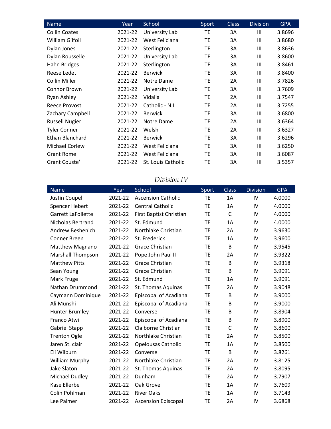| <b>Name</b>           | Year    | School             | Sport     | <b>Class</b> | <b>Division</b> | <b>GPA</b> |
|-----------------------|---------|--------------------|-----------|--------------|-----------------|------------|
| <b>Collin Coates</b>  | 2021-22 | University Lab     | ТE        | 3A           | $\mathbf{III}$  | 3.8696     |
| William Gilfoil       | 2021-22 | West Feliciana     | ТE        | 3A           | III             | 3.8680     |
| Dylan Jones           | 2021-22 | Sterlington        | TE        | 3A           | III             | 3.8636     |
| Dylan Rousselle       | 2021-22 | University Lab     | TE        | 3A           | III             | 3.8600     |
| Hahn Bridges          | 2021-22 | Sterlington        | <b>TE</b> | 3A           | III             | 3.8461     |
| Reese Ledet           | 2021-22 | <b>Berwick</b>     | TE        | 3A           | III             | 3.8400     |
| <b>Collin Miller</b>  | 2021-22 | Notre Dame         | TE        | 2A           | III             | 3.7826     |
| Connor Brown          | 2021-22 | University Lab     | <b>TE</b> | 3A           | III             | 3.7609     |
| Ryan Ashley           | 2021-22 | Vidalia            | <b>TE</b> | 2A           | III             | 3.7547     |
| Reece Provost         | 2021-22 | Catholic - N.I.    | TE        | 2A           | Ш               | 3.7255     |
| Zachary Campbell      | 2021-22 | <b>Berwick</b>     | ТE        | 3A           | Ш               | 3.6800     |
| <b>Russell Nugier</b> | 2021-22 | Notre Dame         | ТE        | 2A           | III             | 3.6364     |
| <b>Tyler Conner</b>   | 2021-22 | Welsh              | TE        | 2A           | III             | 3.6327     |
| Ethan Blanchard       | 2021-22 | <b>Berwick</b>     | TE        | 3A           | III             | 3.6296     |
| Michael Corlew        | 2021-22 | West Feliciana     | <b>TE</b> | 3A           | III             | 3.6250     |
| <b>Grant Rome</b>     | 2021-22 | West Feliciana     | <b>TE</b> | 3A           | $\mathbf{III}$  | 3.6087     |
| Grant Couste'         | 2021-22 | St. Louis Catholic | ТE        | 3A           | Ш               | 3.5357     |

#### *Division IV*

| <b>Name</b>               | Year    | School                       | Sport     | <b>Class</b> | <b>Division</b> | <b>GPA</b> |
|---------------------------|---------|------------------------------|-----------|--------------|-----------------|------------|
| Justin Coupel             | 2021-22 | <b>Ascension Catholic</b>    | <b>TE</b> | 1A           | IV              | 4.0000     |
| Spencer Hebert            | 2021-22 | <b>Central Catholic</b>      | TE        | 1A           | IV              | 4.0000     |
| <b>Garrett LaFollette</b> | 2021-22 | First Baptist Christian      | <b>TE</b> | $\mathsf{C}$ | IV              | 4.0000     |
| Nicholas Bertrand         | 2021-22 | St. Edmund                   | <b>TE</b> | 1A           | IV              | 4.0000     |
| Andrew Beshenich          | 2021-22 | Northlake Christian          | TE        | 2A           | IV              | 3.9630     |
| Conner Breen              | 2021-22 | St. Frederick                | TE        | 1A           | IV              | 3.9600     |
| Matthew Magnano           | 2021-22 | <b>Grace Christian</b>       | <b>TE</b> | B            | IV              | 3.9545     |
| <b>Marshall Thompson</b>  | 2021-22 | Pope John Paul II            | TE        | 2A           | IV              | 3.9322     |
| <b>Matthew Pitts</b>      | 2021-22 | <b>Grace Christian</b>       | <b>TE</b> | B            | IV              | 3.9318     |
| Sean Young                | 2021-22 | Grace Christian              | TE        | B            | IV              | 3.9091     |
| Mark Fruge                | 2021-22 | St. Edmund                   | <b>TE</b> | 1A           | IV              | 3.9091     |
| Nathan Drummond           | 2021-22 | St. Thomas Aquinas           | <b>TE</b> | 2A           | IV              | 3.9048     |
| Caymann Dominique         | 2021-22 | Episcopal of Acadiana        | <b>TE</b> | B            | IV              | 3.9000     |
| Ali Munshi                | 2021-22 | Episcopal of Acadiana        | <b>TE</b> | B            | IV              | 3.9000     |
| <b>Hunter Brumley</b>     | 2021-22 | Converse                     | <b>TE</b> | В            | IV              | 3.8904     |
| Franco Atwi               | 2021-22 | <b>Episcopal of Acadiana</b> | <b>TE</b> | В            | IV              | 3.8900     |
| Gabriel Stapp             | 2021-22 | Claiborne Christian          | <b>TE</b> | C            | IV              | 3.8600     |
| <b>Trenton Ogle</b>       | 2021-22 | Northlake Christian          | <b>TE</b> | 2A           | IV              | 3.8500     |
| Jaren St. clair           | 2021-22 | Opelousas Catholic           | ТE        | 1A           | IV              | 3.8500     |
| Eli Wilburn               | 2021-22 | Converse                     | TE        | B            | IV              | 3.8261     |
| <b>William Murphy</b>     | 2021-22 | Northlake Christian          | TE        | 2A           | IV              | 3.8125     |
| <b>Jake Slaton</b>        | 2021-22 | St. Thomas Aquinas           | <b>TE</b> | 2A           | IV              | 3.8095     |
| Michael Dudley            | 2021-22 | Dunham                       | <b>TE</b> | 2A           | IV              | 3.7907     |
| Kase Ellerbe              | 2021-22 | Oak Grove                    | <b>TE</b> | 1A           | IV              | 3.7609     |
| Colin Pohlman             | 2021-22 | <b>River Oaks</b>            | TE        | 1A           | IV              | 3.7143     |
| Lee Palmer                | 2021-22 | <b>Ascension Episcopal</b>   | TE        | 2A           | IV              | 3.6868     |